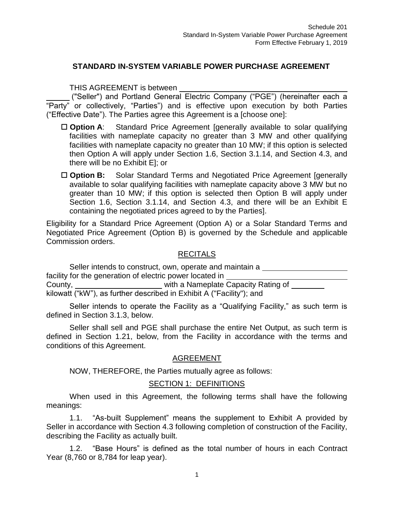# **STANDARD IN-SYSTEM VARIABLE POWER PURCHASE AGREEMENT**

THIS AGREEMENT is between

("Seller") and Portland General Electric Company ("PGE") (hereinafter each a "Party" or collectively, "Parties") and is effective upon execution by both Parties ("Effective Date"). The Parties agree this Agreement is a [choose one]:

- □ **Option A**: Standard Price Agreement [generally available to solar qualifying facilities with nameplate capacity no greater than 3 MW and other qualifying facilities with nameplate capacity no greater than 10 MW; if this option is selected then Option A will apply under Section 1.6, Section 3.1.14, and Section 4.3, and there will be no Exhibit E]; or
- □ **Option B:** Solar Standard Terms and Negotiated Price Agreement [generally available to solar qualifying facilities with nameplate capacity above 3 MW but no greater than 10 MW; if this option is selected then Option B will apply under Section 1.6, Section 3.1.14, and Section 4.3, and there will be an Exhibit E containing the negotiated prices agreed to by the Parties].

Eligibility for a Standard Price Agreement (Option A) or a Solar Standard Terms and Negotiated Price Agreement (Option B) is governed by the Schedule and applicable Commission orders.

#### RECITALS

Seller intends to construct, own, operate and maintain a facility for the generation of electric power located in County, County, County, County, County, County, County, County, County, County, County, County, County, County, County, County, County, County, County, County, County, County, County, County, County, County, County, County kilowatt ("kW"), as further described in Exhibit A ("Facility"); and

Seller intends to operate the Facility as a "Qualifying Facility," as such term is defined in Section 3.1.3, below.

Seller shall sell and PGE shall purchase the entire Net Output, as such term is defined in Section 1.21, below, from the Facility in accordance with the terms and conditions of this Agreement.

#### AGREEMENT

NOW, THEREFORE, the Parties mutually agree as follows:

#### SECTION 1: DEFINITIONS

When used in this Agreement, the following terms shall have the following meanings:

1.1. "As-built Supplement" means the supplement to Exhibit A provided by Seller in accordance with Section 4.3 following completion of construction of the Facility, describing the Facility as actually built.

1.2. "Base Hours" is defined as the total number of hours in each Contract Year (8,760 or 8,784 for leap year).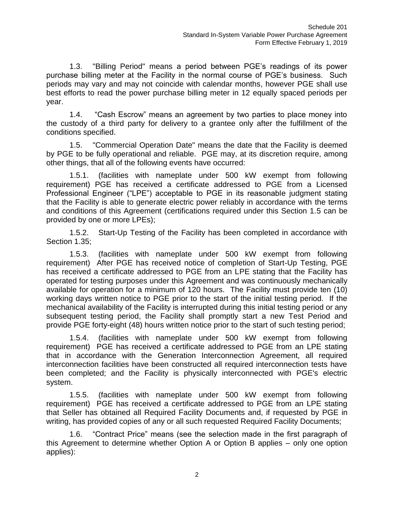1.3. "Billing Period" means a period between PGE's readings of its power purchase billing meter at the Facility in the normal course of PGE's business. Such periods may vary and may not coincide with calendar months, however PGE shall use best efforts to read the power purchase billing meter in 12 equally spaced periods per year.

1.4. "Cash Escrow" means an agreement by two parties to place money into the custody of a third party for delivery to a grantee only after the fulfillment of the conditions specified.

1.5. "Commercial Operation Date" means the date that the Facility is deemed by PGE to be fully operational and reliable. PGE may, at its discretion require, among other things, that all of the following events have occurred:

1.5.1. (facilities with nameplate under 500 kW exempt from following requirement) PGE has received a certificate addressed to PGE from a Licensed Professional Engineer ("LPE") acceptable to PGE in its reasonable judgment stating that the Facility is able to generate electric power reliably in accordance with the terms and conditions of this Agreement (certifications required under this Section 1.5 can be provided by one or more LPEs);

1.5.2. Start-Up Testing of the Facility has been completed in accordance with Section 1.35;

1.5.3. (facilities with nameplate under 500 kW exempt from following requirement) After PGE has received notice of completion of Start-Up Testing, PGE has received a certificate addressed to PGE from an LPE stating that the Facility has operated for testing purposes under this Agreement and was continuously mechanically available for operation for a minimum of 120 hours. The Facility must provide ten (10) working days written notice to PGE prior to the start of the initial testing period. If the mechanical availability of the Facility is interrupted during this initial testing period or any subsequent testing period, the Facility shall promptly start a new Test Period and provide PGE forty-eight (48) hours written notice prior to the start of such testing period;

1.5.4. (facilities with nameplate under 500 kW exempt from following requirement) PGE has received a certificate addressed to PGE from an LPE stating that in accordance with the Generation Interconnection Agreement, all required interconnection facilities have been constructed all required interconnection tests have been completed; and the Facility is physically interconnected with PGE's electric system.

1.5.5. (facilities with nameplate under 500 kW exempt from following requirement) PGE has received a certificate addressed to PGE from an LPE stating that Seller has obtained all Required Facility Documents and, if requested by PGE in writing, has provided copies of any or all such requested Required Facility Documents;

1.6. "Contract Price" means (see the selection made in the first paragraph of this Agreement to determine whether Option A or Option B applies – only one option applies):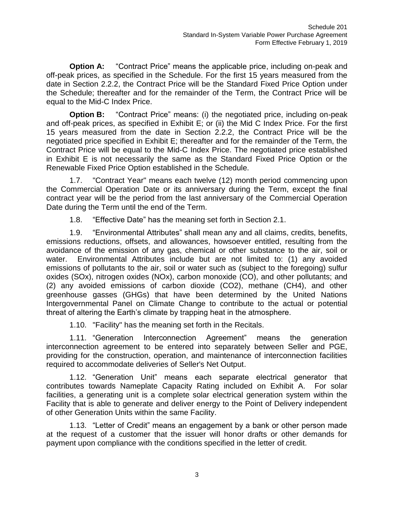**Option A:** "Contract Price" means the applicable price, including on-peak and off-peak prices, as specified in the Schedule. For the first 15 years measured from the date in Section 2.2.2, the Contract Price will be the Standard Fixed Price Option under the Schedule; thereafter and for the remainder of the Term, the Contract Price will be equal to the Mid-C Index Price.

**Option B:** "Contract Price" means: (i) the negotiated price, including on-peak and off-peak prices, as specified in Exhibit E; or (ii) the Mid C Index Price. For the first 15 years measured from the date in Section 2.2.2, the Contract Price will be the negotiated price specified in Exhibit E; thereafter and for the remainder of the Term, the Contract Price will be equal to the Mid-C Index Price. The negotiated price established in Exhibit E is not necessarily the same as the Standard Fixed Price Option or the Renewable Fixed Price Option established in the Schedule.

1.7. "Contract Year" means each twelve (12) month period commencing upon the Commercial Operation Date or its anniversary during the Term, except the final contract year will be the period from the last anniversary of the Commercial Operation Date during the Term until the end of the Term.

1.8. "Effective Date" has the meaning set forth in Section 2.1.

1.9. "Environmental Attributes" shall mean any and all claims, credits, benefits, emissions reductions, offsets, and allowances, howsoever entitled, resulting from the avoidance of the emission of any gas, chemical or other substance to the air, soil or water. Environmental Attributes include but are not limited to: (1) any avoided emissions of pollutants to the air, soil or water such as (subject to the foregoing) sulfur oxides (SOx), nitrogen oxides (NOx), carbon monoxide (CO), and other pollutants; and (2) any avoided emissions of carbon dioxide (CO2), methane (CH4), and other greenhouse gasses (GHGs) that have been determined by the United Nations Intergovernmental Panel on Climate Change to contribute to the actual or potential threat of altering the Earth's climate by trapping heat in the atmosphere.

1.10. "Facility" has the meaning set forth in the Recitals.

1.11. "Generation Interconnection Agreement" means the generation interconnection agreement to be entered into separately between Seller and PGE, providing for the construction, operation, and maintenance of interconnection facilities required to accommodate deliveries of Seller's Net Output.

1.12. "Generation Unit" means each separate electrical generator that contributes towards Nameplate Capacity Rating included on Exhibit A. For solar facilities, a generating unit is a complete solar electrical generation system within the Facility that is able to generate and deliver energy to the Point of Delivery independent of other Generation Units within the same Facility.

1.13. "Letter of Credit" means an engagement by a bank or other person made at the request of a customer that the issuer will honor drafts or other demands for payment upon compliance with the conditions specified in the letter of credit.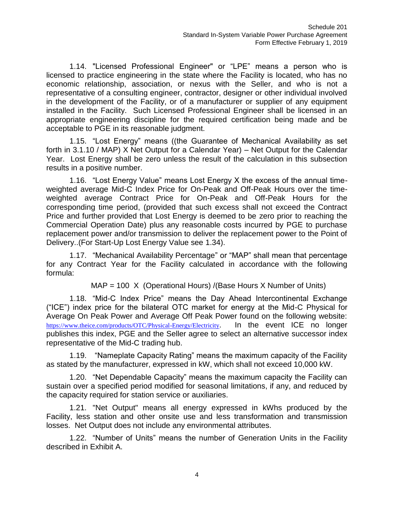1.14. "Licensed Professional Engineer" or "LPE" means a person who is licensed to practice engineering in the state where the Facility is located, who has no economic relationship, association, or nexus with the Seller, and who is not a representative of a consulting engineer, contractor, designer or other individual involved in the development of the Facility, or of a manufacturer or supplier of any equipment installed in the Facility. Such Licensed Professional Engineer shall be licensed in an appropriate engineering discipline for the required certification being made and be acceptable to PGE in its reasonable judgment.

1.15. "Lost Energy" means ((the Guarantee of Mechanical Availability as set forth in 3.1.10 / MAP) X Net Output for a Calendar Year) – Net Output for the Calendar Year. Lost Energy shall be zero unless the result of the calculation in this subsection results in a positive number.

1.16. "Lost Energy Value" means Lost Energy X the excess of the annual timeweighted average Mid-C Index Price for On-Peak and Off-Peak Hours over the timeweighted average Contract Price for On-Peak and Off-Peak Hours for the corresponding time period, (provided that such excess shall not exceed the Contract Price and further provided that Lost Energy is deemed to be zero prior to reaching the Commercial Operation Date) plus any reasonable costs incurred by PGE to purchase replacement power and/or transmission to deliver the replacement power to the Point of Delivery..(For Start-Up Lost Energy Value see 1.34).

1.17. "Mechanical Availability Percentage" or "MAP" shall mean that percentage for any Contract Year for the Facility calculated in accordance with the following formula:

MAP = 100 X (Operational Hours) /(Base Hours X Number of Units)

1.18. "Mid-C Index Price" means the Day Ahead Intercontinental Exchange ("ICE") index price for the bilateral OTC market for energy at the Mid-C Physical for Average On Peak Power and Average Off Peak Power found on the following website: <https://www.theice.com/products/OTC/Physical-Energy/Electricity>. In the event ICE no longer publishes this index, PGE and the Seller agree to select an alternative successor index representative of the Mid-C trading hub.

1.19. "Nameplate Capacity Rating" means the maximum capacity of the Facility as stated by the manufacturer, expressed in kW, which shall not exceed 10,000 kW.

1.20. "Net Dependable Capacity" means the maximum capacity the Facility can sustain over a specified period modified for seasonal limitations, if any, and reduced by the capacity required for station service or auxiliaries.

1.21. "Net Output" means all energy expressed in kWhs produced by the Facility, less station and other onsite use and less transformation and transmission losses. Net Output does not include any environmental attributes.

1.22. "Number of Units" means the number of Generation Units in the Facility described in Exhibit A.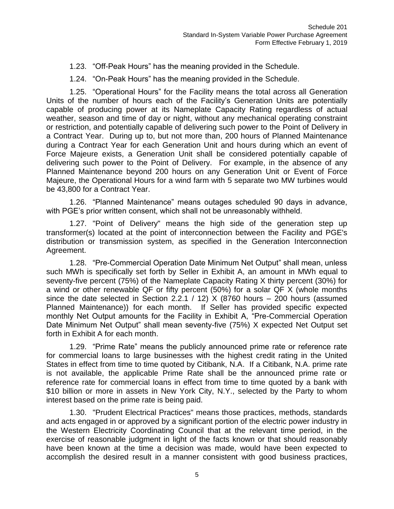1.23. "Off-Peak Hours" has the meaning provided in the Schedule.

1.24. "On-Peak Hours" has the meaning provided in the Schedule.

1.25. "Operational Hours" for the Facility means the total across all Generation Units of the number of hours each of the Facility's Generation Units are potentially capable of producing power at its Nameplate Capacity Rating regardless of actual weather, season and time of day or night, without any mechanical operating constraint or restriction, and potentially capable of delivering such power to the Point of Delivery in a Contract Year. During up to, but not more than, 200 hours of Planned Maintenance during a Contract Year for each Generation Unit and hours during which an event of Force Majeure exists, a Generation Unit shall be considered potentially capable of delivering such power to the Point of Delivery. For example, in the absence of any Planned Maintenance beyond 200 hours on any Generation Unit or Event of Force Majeure, the Operational Hours for a wind farm with 5 separate two MW turbines would be 43,800 for a Contract Year.

1.26. "Planned Maintenance" means outages scheduled 90 days in advance, with PGE's prior written consent, which shall not be unreasonably withheld.

1.27. "Point of Delivery" means the high side of the generation step up transformer(s) located at the point of interconnection between the Facility and PGE's distribution or transmission system, as specified in the Generation Interconnection Agreement.

1.28. "Pre-Commercial Operation Date Minimum Net Output" shall mean, unless such MWh is specifically set forth by Seller in Exhibit A, an amount in MWh equal to seventy-five percent (75%) of the Nameplate Capacity Rating X thirty percent (30%) for a wind or other renewable QF or fifty percent (50%) for a solar QF X (whole months since the date selected in Section 2.2.1 / 12)  $\times$  (8760 hours – 200 hours (assumed Planned Maintenance)) for each month. If Seller has provided specific expected monthly Net Output amounts for the Facility in Exhibit A, "Pre-Commercial Operation Date Minimum Net Output" shall mean seventy-five (75%) X expected Net Output set forth in Exhibit A for each month.

1.29. "Prime Rate" means the publicly announced prime rate or reference rate for commercial loans to large businesses with the highest credit rating in the United States in effect from time to time quoted by Citibank, N.A. If a Citibank, N.A. prime rate is not available, the applicable Prime Rate shall be the announced prime rate or reference rate for commercial loans in effect from time to time quoted by a bank with \$10 billion or more in assets in New York City, N.Y., selected by the Party to whom interest based on the prime rate is being paid.

1.30. "Prudent Electrical Practices" means those practices, methods, standards and acts engaged in or approved by a significant portion of the electric power industry in the Western Electricity Coordinating Council that at the relevant time period, in the exercise of reasonable judgment in light of the facts known or that should reasonably have been known at the time a decision was made, would have been expected to accomplish the desired result in a manner consistent with good business practices,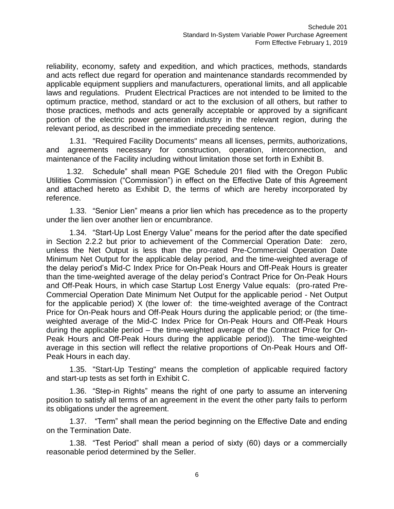reliability, economy, safety and expedition, and which practices, methods, standards and acts reflect due regard for operation and maintenance standards recommended by applicable equipment suppliers and manufacturers, operational limits, and all applicable laws and regulations. Prudent Electrical Practices are not intended to be limited to the optimum practice, method, standard or act to the exclusion of all others, but rather to those practices, methods and acts generally acceptable or approved by a significant portion of the electric power generation industry in the relevant region, during the relevant period, as described in the immediate preceding sentence.

1.31. "Required Facility Documents" means all licenses, permits, authorizations, and agreements necessary for construction, operation, interconnection, and maintenance of the Facility including without limitation those set forth in Exhibit B.

1.32. Schedule" shall mean PGE Schedule 201 filed with the Oregon Public Utilities Commission ("Commission") in effect on the Effective Date of this Agreement and attached hereto as Exhibit D, the terms of which are hereby incorporated by reference.

1.33. "Senior Lien" means a prior lien which has precedence as to the property under the lien over another lien or encumbrance.

1.34. "Start-Up Lost Energy Value" means for the period after the date specified in Section 2.2.2 but prior to achievement of the Commercial Operation Date: zero, unless the Net Output is less than the pro-rated Pre-Commercial Operation Date Minimum Net Output for the applicable delay period, and the time-weighted average of the delay period's Mid-C Index Price for On-Peak Hours and Off-Peak Hours is greater than the time-weighted average of the delay period's Contract Price for On-Peak Hours and Off-Peak Hours, in which case Startup Lost Energy Value equals: (pro-rated Pre-Commercial Operation Date Minimum Net Output for the applicable period - Net Output for the applicable period) X (the lower of: the time-weighted average of the Contract Price for On-Peak hours and Off-Peak Hours during the applicable period; or (the timeweighted average of the Mid-C Index Price for On-Peak Hours and Off-Peak Hours during the applicable period – the time-weighted average of the Contract Price for On-Peak Hours and Off-Peak Hours during the applicable period)). The time-weighted average in this section will reflect the relative proportions of On-Peak Hours and Off-Peak Hours in each day.

1.35. "Start-Up Testing" means the completion of applicable required factory and start-up tests as set forth in Exhibit C.

1.36. "Step-in Rights" means the right of one party to assume an intervening position to satisfy all terms of an agreement in the event the other party fails to perform its obligations under the agreement.

1.37. "Term" shall mean the period beginning on the Effective Date and ending on the Termination Date.

1.38. "Test Period" shall mean a period of sixty (60) days or a commercially reasonable period determined by the Seller.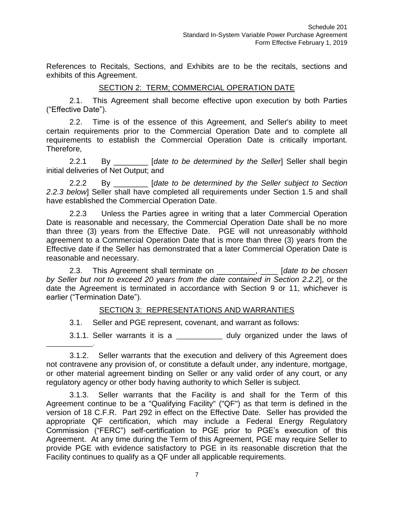References to Recitals, Sections, and Exhibits are to be the recitals, sections and exhibits of this Agreement.

#### SECTION 2: TERM; COMMERCIAL OPERATION DATE

2.1. This Agreement shall become effective upon execution by both Parties ("Effective Date").

2.2. Time is of the essence of this Agreement, and Seller's ability to meet certain requirements prior to the Commercial Operation Date and to complete all requirements to establish the Commercial Operation Date is critically important. Therefore,

2.2.1 By \_\_\_\_\_\_\_\_ [*date to be determined by the Seller*] Seller shall begin initial deliveries of Net Output; and

2.2.2 By \_\_\_\_\_\_\_\_ [*date to be determined by the Seller subject to Section 2.2.3 below*] Seller shall have completed all requirements under Section 1.5 and shall have established the Commercial Operation Date.

2.2.3 Unless the Parties agree in writing that a later Commercial Operation Date is reasonable and necessary, the Commercial Operation Date shall be no more than three (3) years from the Effective Date. PGE will not unreasonably withhold agreement to a Commercial Operation Date that is more than three (3) years from the Effective date if the Seller has demonstrated that a later Commercial Operation Date is reasonable and necessary.

2.3. This Agreement shall terminate on \_\_\_\_\_\_\_\_\_, \_\_\_\_ [*date to be chosen by Seller but not to exceed 20 years from the date contained in Section 2.2.2*], or the date the Agreement is terminated in accordance with Section 9 or 11, whichever is earlier ("Termination Date").

### SECTION 3: REPRESENTATIONS AND WARRANTIES

3.1. Seller and PGE represent, covenant, and warrant as follows:

 $\overline{\phantom{a}}$  , where  $\overline{\phantom{a}}$ 

3.1.1. Seller warrants it is a \_\_\_\_\_\_\_\_\_\_\_\_\_ duly organized under the laws of

3.1.2. Seller warrants that the execution and delivery of this Agreement does not contravene any provision of, or constitute a default under, any indenture, mortgage, or other material agreement binding on Seller or any valid order of any court, or any regulatory agency or other body having authority to which Seller is subject.

3.1.3. Seller warrants that the Facility is and shall for the Term of this Agreement continue to be a "Qualifying Facility" ("QF") as that term is defined in the version of 18 C.F.R. Part 292 in effect on the Effective Date. Seller has provided the appropriate QF certification, which may include a Federal Energy Regulatory Commission ("FERC") self-certification to PGE prior to PGE's execution of this Agreement. At any time during the Term of this Agreement, PGE may require Seller to provide PGE with evidence satisfactory to PGE in its reasonable discretion that the Facility continues to qualify as a QF under all applicable requirements.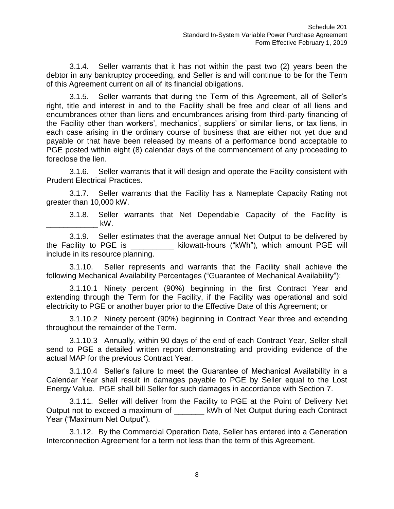3.1.4. Seller warrants that it has not within the past two (2) years been the debtor in any bankruptcy proceeding, and Seller is and will continue to be for the Term of this Agreement current on all of its financial obligations.

3.1.5. Seller warrants that during the Term of this Agreement, all of Seller's right, title and interest in and to the Facility shall be free and clear of all liens and encumbrances other than liens and encumbrances arising from third-party financing of the Facility other than workers', mechanics', suppliers' or similar liens, or tax liens, in each case arising in the ordinary course of business that are either not yet due and payable or that have been released by means of a performance bond acceptable to PGE posted within eight (8) calendar days of the commencement of any proceeding to foreclose the lien.

3.1.6. Seller warrants that it will design and operate the Facility consistent with Prudent Electrical Practices.

3.1.7. Seller warrants that the Facility has a Nameplate Capacity Rating not greater than 10,000 kW.

3.1.8. Seller warrants that Net Dependable Capacity of the Facility is \_\_\_\_\_\_\_\_\_\_\_\_ kW.

3.1.9. Seller estimates that the average annual Net Output to be delivered by the Facility to PGE is The Sulowatt-hours ("kWh"), which amount PGE will include in its resource planning.

3.1.10. Seller represents and warrants that the Facility shall achieve the following Mechanical Availability Percentages ("Guarantee of Mechanical Availability"):

3.1.10.1 Ninety percent (90%) beginning in the first Contract Year and extending through the Term for the Facility, if the Facility was operational and sold electricity to PGE or another buyer prior to the Effective Date of this Agreement; or

3.1.10.2 Ninety percent (90%) beginning in Contract Year three and extending throughout the remainder of the Term.

3.1.10.3 Annually, within 90 days of the end of each Contract Year, Seller shall send to PGE a detailed written report demonstrating and providing evidence of the actual MAP for the previous Contract Year.

3.1.10.4 Seller's failure to meet the Guarantee of Mechanical Availability in a Calendar Year shall result in damages payable to PGE by Seller equal to the Lost Energy Value. PGE shall bill Seller for such damages in accordance with Section 7.

3.1.11. Seller will deliver from the Facility to PGE at the Point of Delivery Net Output not to exceed a maximum of \_\_\_\_\_\_\_ kWh of Net Output during each Contract Year ("Maximum Net Output").

3.1.12. By the Commercial Operation Date, Seller has entered into a Generation Interconnection Agreement for a term not less than the term of this Agreement.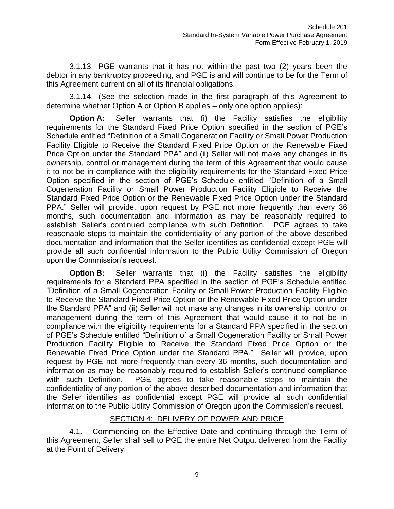3.1.13. PGE warrants that it has not within the past two (2) years been the debtor in any bankruptcy proceeding, and PGE is and will continue to be for the Term of this Agreement current on all of its financial obligations.

3.1.14. (See the selection made in the first paragraph of this Agreement to determine whether Option A or Option B applies – only one option applies):

**Option A:** Seller warrants that (i) the Facility satisfies the eligibility requirements for the Standard Fixed Price Option specified in the section of PGE's Schedule entitled "Definition of a Small Cogeneration Facility or Small Power Production Facility Eligible to Receive the Standard Fixed Price Option or the Renewable Fixed Price Option under the Standard PPA" and (ii) Seller will not make any changes in its ownership, control or management during the term of this Agreement that would cause it to not be in compliance with the eligibility requirements for the Standard Fixed Price Option specified in the section of PGE's Schedule entitled "Definition of a Small Cogeneration Facility or Small Power Production Facility Eligible to Receive the Standard Fixed Price Option or the Renewable Fixed Price Option under the Standard PPA." Seller will provide, upon request by PGE not more frequently than every 36 months, such documentation and information as may be reasonably required to establish Seller's continued compliance with such Definition. PGE agrees to take reasonable steps to maintain the confidentiality of any portion of the above-described documentation and information that the Seller identifies as confidential except PGE will provide all such confidential information to the Public Utility Commission of Oregon upon the Commission's request.

**Option B:** Seller warrants that (i) the Facility satisfies the eligibility requirements for a Standard PPA specified in the section of PGE's Schedule entitled "Definition of a Small Cogeneration Facility or Small Power Production Facility Eligible to Receive the Standard Fixed Price Option or the Renewable Fixed Price Option under the Standard PPA" and (ii) Seller will not make any changes in its ownership, control or management during the term of this Agreement that would cause it to not be in compliance with the eligibility requirements for a Standard PPA specified in the section of PGE's Schedule entitled "Definition of a Small Cogeneration Facility or Small Power Production Facility Eligible to Receive the Standard Fixed Price Option or the Renewable Fixed Price Option under the Standard PPA." Seller will provide, upon request by PGE not more frequently than every 36 months, such documentation and information as may be reasonably required to establish Seller's continued compliance with such Definition. PGE agrees to take reasonable steps to maintain the confidentiality of any portion of the above-described documentation and information that the Seller identifies as confidential except PGE will provide all such confidential information to the Public Utility Commission of Oregon upon the Commission's request.

# SECTION 4: DELIVERY OF POWER AND PRICE

4.1. Commencing on the Effective Date and continuing through the Term of this Agreement, Seller shall sell to PGE the entire Net Output delivered from the Facility at the Point of Delivery.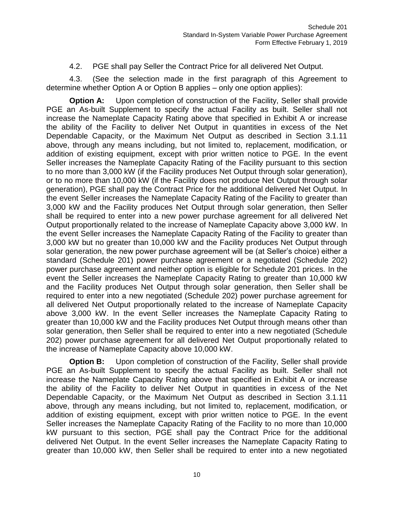4.2. PGE shall pay Seller the Contract Price for all delivered Net Output.

4.3. (See the selection made in the first paragraph of this Agreement to determine whether Option A or Option B applies – only one option applies):

**Option A:** Upon completion of construction of the Facility, Seller shall provide PGE an As-built Supplement to specify the actual Facility as built. Seller shall not increase the Nameplate Capacity Rating above that specified in Exhibit A or increase the ability of the Facility to deliver Net Output in quantities in excess of the Net Dependable Capacity, or the Maximum Net Output as described in Section 3.1.11 above, through any means including, but not limited to, replacement, modification, or addition of existing equipment, except with prior written notice to PGE. In the event Seller increases the Nameplate Capacity Rating of the Facility pursuant to this section to no more than 3,000 kW (if the Facility produces Net Output through solar generation), or to no more than 10,000 kW (if the Facility does not produce Net Output through solar generation), PGE shall pay the Contract Price for the additional delivered Net Output. In the event Seller increases the Nameplate Capacity Rating of the Facility to greater than 3,000 kW and the Facility produces Net Output through solar generation, then Seller shall be required to enter into a new power purchase agreement for all delivered Net Output proportionally related to the increase of Nameplate Capacity above 3,000 kW. In the event Seller increases the Nameplate Capacity Rating of the Facility to greater than 3,000 kW but no greater than 10,000 kW and the Facility produces Net Output through solar generation, the new power purchase agreement will be (at Seller's choice) either a standard (Schedule 201) power purchase agreement or a negotiated (Schedule 202) power purchase agreement and neither option is eligible for Schedule 201 prices. In the event the Seller increases the Nameplate Capacity Rating to greater than 10,000 kW and the Facility produces Net Output through solar generation, then Seller shall be required to enter into a new negotiated (Schedule 202) power purchase agreement for all delivered Net Output proportionally related to the increase of Nameplate Capacity above 3,000 kW. In the event Seller increases the Nameplate Capacity Rating to greater than 10,000 kW and the Facility produces Net Output through means other than solar generation, then Seller shall be required to enter into a new negotiated (Schedule 202) power purchase agreement for all delivered Net Output proportionally related to the increase of Nameplate Capacity above 10,000 kW.

**Option B:** Upon completion of construction of the Facility, Seller shall provide PGE an As-built Supplement to specify the actual Facility as built. Seller shall not increase the Nameplate Capacity Rating above that specified in Exhibit A or increase the ability of the Facility to deliver Net Output in quantities in excess of the Net Dependable Capacity, or the Maximum Net Output as described in Section 3.1.11 above, through any means including, but not limited to, replacement, modification, or addition of existing equipment, except with prior written notice to PGE. In the event Seller increases the Nameplate Capacity Rating of the Facility to no more than 10,000 kW pursuant to this section, PGE shall pay the Contract Price for the additional delivered Net Output. In the event Seller increases the Nameplate Capacity Rating to greater than 10,000 kW, then Seller shall be required to enter into a new negotiated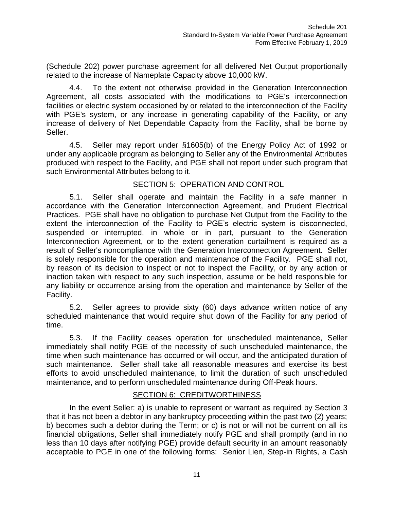(Schedule 202) power purchase agreement for all delivered Net Output proportionally related to the increase of Nameplate Capacity above 10,000 kW.

4.4. To the extent not otherwise provided in the Generation Interconnection Agreement, all costs associated with the modifications to PGE's interconnection facilities or electric system occasioned by or related to the interconnection of the Facility with PGE's system, or any increase in generating capability of the Facility, or any increase of delivery of Net Dependable Capacity from the Facility, shall be borne by Seller.

4.5. Seller may report under §1605(b) of the Energy Policy Act of 1992 or under any applicable program as belonging to Seller any of the Environmental Attributes produced with respect to the Facility, and PGE shall not report under such program that such Environmental Attributes belong to it.

## SECTION 5: OPERATION AND CONTROL

5.1. Seller shall operate and maintain the Facility in a safe manner in accordance with the Generation Interconnection Agreement, and Prudent Electrical Practices. PGE shall have no obligation to purchase Net Output from the Facility to the extent the interconnection of the Facility to PGE's electric system is disconnected, suspended or interrupted, in whole or in part, pursuant to the Generation Interconnection Agreement, or to the extent generation curtailment is required as a result of Seller's noncompliance with the Generation Interconnection Agreement. Seller is solely responsible for the operation and maintenance of the Facility. PGE shall not, by reason of its decision to inspect or not to inspect the Facility, or by any action or inaction taken with respect to any such inspection, assume or be held responsible for any liability or occurrence arising from the operation and maintenance by Seller of the Facility.

5.2. Seller agrees to provide sixty (60) days advance written notice of any scheduled maintenance that would require shut down of the Facility for any period of time.

5.3. If the Facility ceases operation for unscheduled maintenance, Seller immediately shall notify PGE of the necessity of such unscheduled maintenance, the time when such maintenance has occurred or will occur, and the anticipated duration of such maintenance. Seller shall take all reasonable measures and exercise its best efforts to avoid unscheduled maintenance, to limit the duration of such unscheduled maintenance, and to perform unscheduled maintenance during Off-Peak hours.

# SECTION 6: CREDITWORTHINESS

In the event Seller: a) is unable to represent or warrant as required by Section 3 that it has not been a debtor in any bankruptcy proceeding within the past two (2) years; b) becomes such a debtor during the Term; or c) is not or will not be current on all its financial obligations, Seller shall immediately notify PGE and shall promptly (and in no less than 10 days after notifying PGE) provide default security in an amount reasonably acceptable to PGE in one of the following forms: Senior Lien, Step-in Rights, a Cash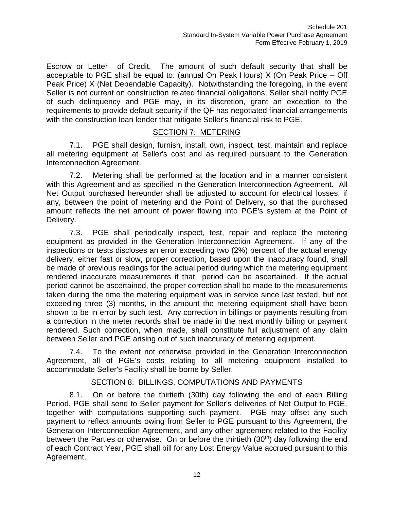Escrow or Letter of Credit. The amount of such default security that shall be acceptable to PGE shall be equal to: (annual On Peak Hours) X (On Peak Price – Off Peak Price) X (Net Dependable Capacity). Notwithstanding the foregoing, in the event Seller is not current on construction related financial obligations, Seller shall notify PGE of such delinquency and PGE may, in its discretion, grant an exception to the requirements to provide default security if the QF has negotiated financial arrangements with the construction loan lender that mitigate Seller's financial risk to PGE.

#### SECTION 7: METERING

7.1. PGE shall design, furnish, install, own, inspect, test, maintain and replace all metering equipment at Seller's cost and as required pursuant to the Generation Interconnection Agreement.

7.2. Metering shall be performed at the location and in a manner consistent with this Agreement and as specified in the Generation Interconnection Agreement. All Net Output purchased hereunder shall be adjusted to account for electrical losses, if any, between the point of metering and the Point of Delivery, so that the purchased amount reflects the net amount of power flowing into PGE's system at the Point of Delivery.

7.3. PGE shall periodically inspect, test, repair and replace the metering equipment as provided in the Generation Interconnection Agreement. If any of the inspections or tests discloses an error exceeding two (2%) percent of the actual energy delivery, either fast or slow, proper correction, based upon the inaccuracy found, shall be made of previous readings for the actual period during which the metering equipment rendered inaccurate measurements if that period can be ascertained. If the actual period cannot be ascertained, the proper correction shall be made to the measurements taken during the time the metering equipment was in service since last tested, but not exceeding three (3) months, in the amount the metering equipment shall have been shown to be in error by such test. Any correction in billings or payments resulting from a correction in the meter records shall be made in the next monthly billing or payment rendered. Such correction, when made, shall constitute full adjustment of any claim between Seller and PGE arising out of such inaccuracy of metering equipment.

7.4. To the extent not otherwise provided in the Generation Interconnection Agreement, all of PGE's costs relating to all metering equipment installed to accommodate Seller's Facility shall be borne by Seller.

# SECTION 8: BILLINGS, COMPUTATIONS AND PAYMENTS

8.1. On or before the thirtieth (30th) day following the end of each Billing Period, PGE shall send to Seller payment for Seller's deliveries of Net Output to PGE, together with computations supporting such payment. PGE may offset any such payment to reflect amounts owing from Seller to PGE pursuant to this Agreement, the Generation Interconnection Agreement, and any other agreement related to the Facility between the Parties or otherwise. On or before the thirtieth  $(30<sup>th</sup>)$  day following the end of each Contract Year, PGE shall bill for any Lost Energy Value accrued pursuant to this Agreement.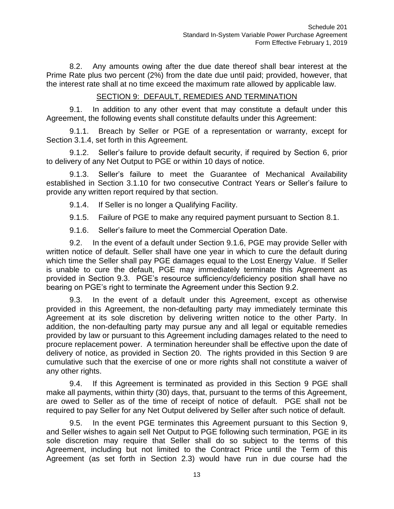8.2. Any amounts owing after the due date thereof shall bear interest at the Prime Rate plus two percent (2%) from the date due until paid; provided, however, that the interest rate shall at no time exceed the maximum rate allowed by applicable law.

# SECTION 9: DEFAULT, REMEDIES AND TERMINATION

9.1. In addition to any other event that may constitute a default under this Agreement, the following events shall constitute defaults under this Agreement:

9.1.1. Breach by Seller or PGE of a representation or warranty, except for Section 3.1.4, set forth in this Agreement.

9.1.2. Seller's failure to provide default security, if required by Section 6, prior to delivery of any Net Output to PGE or within 10 days of notice.

9.1.3. Seller's failure to meet the Guarantee of Mechanical Availability established in Section 3.1.10 for two consecutive Contract Years or Seller's failure to provide any written report required by that section.

9.1.4. If Seller is no longer a Qualifying Facility.

9.1.5. Failure of PGE to make any required payment pursuant to Section 8.1.

9.1.6. Seller's failure to meet the Commercial Operation Date.

9.2. In the event of a default under Section 9.1.6, PGE may provide Seller with written notice of default. Seller shall have one year in which to cure the default during which time the Seller shall pay PGE damages equal to the Lost Energy Value. If Seller is unable to cure the default, PGE may immediately terminate this Agreement as provided in Section 9.3. PGE's resource sufficiency/deficiency position shall have no bearing on PGE's right to terminate the Agreement under this Section 9.2.

9.3. In the event of a default under this Agreement, except as otherwise provided in this Agreement, the non-defaulting party may immediately terminate this Agreement at its sole discretion by delivering written notice to the other Party. In addition, the non-defaulting party may pursue any and all legal or equitable remedies provided by law or pursuant to this Agreement including damages related to the need to procure replacement power. A termination hereunder shall be effective upon the date of delivery of notice, as provided in Section 20. The rights provided in this Section 9 are cumulative such that the exercise of one or more rights shall not constitute a waiver of any other rights.

9.4. If this Agreement is terminated as provided in this Section 9 PGE shall make all payments, within thirty (30) days, that, pursuant to the terms of this Agreement, are owed to Seller as of the time of receipt of notice of default. PGE shall not be required to pay Seller for any Net Output delivered by Seller after such notice of default.

9.5. In the event PGE terminates this Agreement pursuant to this Section 9, and Seller wishes to again sell Net Output to PGE following such termination, PGE in its sole discretion may require that Seller shall do so subject to the terms of this Agreement, including but not limited to the Contract Price until the Term of this Agreement (as set forth in Section 2.3) would have run in due course had the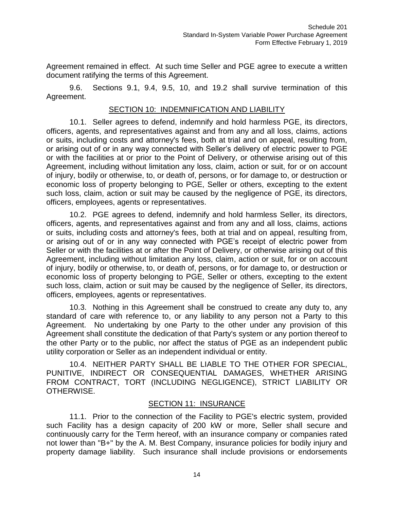Agreement remained in effect. At such time Seller and PGE agree to execute a written document ratifying the terms of this Agreement.

9.6. Sections 9.1, 9.4, 9.5, 10, and 19.2 shall survive termination of this Agreement.

#### SECTION 10: INDEMNIFICATION AND LIABILITY

10.1. Seller agrees to defend, indemnify and hold harmless PGE, its directors, officers, agents, and representatives against and from any and all loss, claims, actions or suits, including costs and attorney's fees, both at trial and on appeal, resulting from, or arising out of or in any way connected with Seller's delivery of electric power to PGE or with the facilities at or prior to the Point of Delivery, or otherwise arising out of this Agreement, including without limitation any loss, claim, action or suit, for or on account of injury, bodily or otherwise, to, or death of, persons, or for damage to, or destruction or economic loss of property belonging to PGE, Seller or others, excepting to the extent such loss, claim, action or suit may be caused by the negligence of PGE, its directors, officers, employees, agents or representatives.

10.2. PGE agrees to defend, indemnify and hold harmless Seller, its directors, officers, agents, and representatives against and from any and all loss, claims, actions or suits, including costs and attorney's fees, both at trial and on appeal, resulting from, or arising out of or in any way connected with PGE's receipt of electric power from Seller or with the facilities at or after the Point of Delivery, or otherwise arising out of this Agreement, including without limitation any loss, claim, action or suit, for or on account of injury, bodily or otherwise, to, or death of, persons, or for damage to, or destruction or economic loss of property belonging to PGE, Seller or others, excepting to the extent such loss, claim, action or suit may be caused by the negligence of Seller, its directors, officers, employees, agents or representatives.

10.3. Nothing in this Agreement shall be construed to create any duty to, any standard of care with reference to, or any liability to any person not a Party to this Agreement. No undertaking by one Party to the other under any provision of this Agreement shall constitute the dedication of that Party's system or any portion thereof to the other Party or to the public, nor affect the status of PGE as an independent public utility corporation or Seller as an independent individual or entity.

10.4. NEITHER PARTY SHALL BE LIABLE TO THE OTHER FOR SPECIAL, PUNITIVE, INDIRECT OR CONSEQUENTIAL DAMAGES, WHETHER ARISING FROM CONTRACT, TORT (INCLUDING NEGLIGENCE), STRICT LIABILITY OR OTHERWISE.

#### SECTION 11: INSURANCE

11.1. Prior to the connection of the Facility to PGE's electric system, provided such Facility has a design capacity of 200 kW or more, Seller shall secure and continuously carry for the Term hereof, with an insurance company or companies rated not lower than "B+" by the A. M. Best Company, insurance policies for bodily injury and property damage liability. Such insurance shall include provisions or endorsements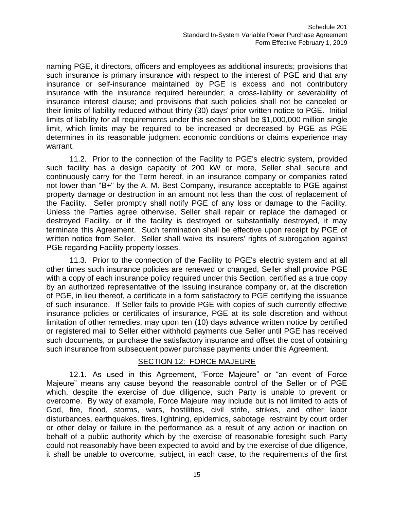naming PGE, it directors, officers and employees as additional insureds; provisions that such insurance is primary insurance with respect to the interest of PGE and that any insurance or self-insurance maintained by PGE is excess and not contributory insurance with the insurance required hereunder; a cross-liability or severability of insurance interest clause; and provisions that such policies shall not be canceled or their limits of liability reduced without thirty (30) days' prior written notice to PGE. Initial limits of liability for all requirements under this section shall be \$1,000,000 million single limit, which limits may be required to be increased or decreased by PGE as PGE determines in its reasonable judgment economic conditions or claims experience may warrant.

11.2. Prior to the connection of the Facility to PGE's electric system, provided such facility has a design capacity of 200 kW or more, Seller shall secure and continuously carry for the Term hereof, in an insurance company or companies rated not lower than "B+" by the A. M. Best Company, insurance acceptable to PGE against property damage or destruction in an amount not less than the cost of replacement of the Facility. Seller promptly shall notify PGE of any loss or damage to the Facility. Unless the Parties agree otherwise, Seller shall repair or replace the damaged or destroyed Facility, or if the facility is destroyed or substantially destroyed, it may terminate this Agreement. Such termination shall be effective upon receipt by PGE of written notice from Seller. Seller shall waive its insurers' rights of subrogation against PGE regarding Facility property losses.

11.3. Prior to the connection of the Facility to PGE's electric system and at all other times such insurance policies are renewed or changed, Seller shall provide PGE with a copy of each insurance policy required under this Section, certified as a true copy by an authorized representative of the issuing insurance company or, at the discretion of PGE, in lieu thereof, a certificate in a form satisfactory to PGE certifying the issuance of such insurance. If Seller fails to provide PGE with copies of such currently effective insurance policies or certificates of insurance, PGE at its sole discretion and without limitation of other remedies, may upon ten (10) days advance written notice by certified or registered mail to Seller either withhold payments due Seller until PGE has received such documents, or purchase the satisfactory insurance and offset the cost of obtaining such insurance from subsequent power purchase payments under this Agreement.

#### SECTION 12: FORCE MAJEURE

12.1. As used in this Agreement, "Force Majeure" or "an event of Force Majeure" means any cause beyond the reasonable control of the Seller or of PGE which, despite the exercise of due diligence, such Party is unable to prevent or overcome. By way of example, Force Majeure may include but is not limited to acts of God, fire, flood, storms, wars, hostilities, civil strife, strikes, and other labor disturbances, earthquakes, fires, lightning, epidemics, sabotage, restraint by court order or other delay or failure in the performance as a result of any action or inaction on behalf of a public authority which by the exercise of reasonable foresight such Party could not reasonably have been expected to avoid and by the exercise of due diligence, it shall be unable to overcome, subject, in each case, to the requirements of the first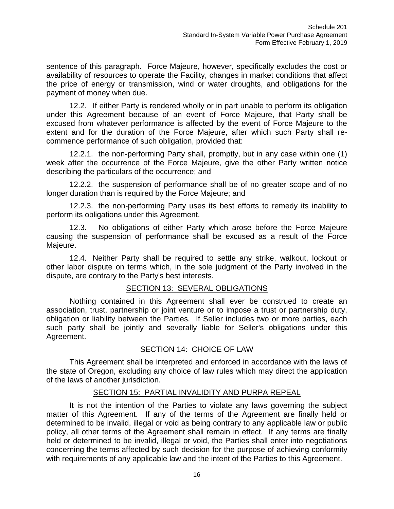sentence of this paragraph. Force Majeure, however, specifically excludes the cost or availability of resources to operate the Facility, changes in market conditions that affect the price of energy or transmission, wind or water droughts, and obligations for the payment of money when due.

12.2. If either Party is rendered wholly or in part unable to perform its obligation under this Agreement because of an event of Force Majeure, that Party shall be excused from whatever performance is affected by the event of Force Majeure to the extent and for the duration of the Force Majeure, after which such Party shall recommence performance of such obligation, provided that:

12.2.1. the non-performing Party shall, promptly, but in any case within one (1) week after the occurrence of the Force Majeure, give the other Party written notice describing the particulars of the occurrence; and

12.2.2. the suspension of performance shall be of no greater scope and of no longer duration than is required by the Force Majeure; and

12.2.3. the non-performing Party uses its best efforts to remedy its inability to perform its obligations under this Agreement.

12.3. No obligations of either Party which arose before the Force Majeure causing the suspension of performance shall be excused as a result of the Force Majeure.

12.4. Neither Party shall be required to settle any strike, walkout, lockout or other labor dispute on terms which, in the sole judgment of the Party involved in the dispute, are contrary to the Party's best interests.

# SECTION 13: SEVERAL OBLIGATIONS

Nothing contained in this Agreement shall ever be construed to create an association, trust, partnership or joint venture or to impose a trust or partnership duty, obligation or liability between the Parties. If Seller includes two or more parties, each such party shall be jointly and severally liable for Seller's obligations under this Agreement.

# SECTION 14: CHOICE OF LAW

This Agreement shall be interpreted and enforced in accordance with the laws of the state of Oregon, excluding any choice of law rules which may direct the application of the laws of another jurisdiction.

# SECTION 15: PARTIAL INVALIDITY AND PURPA REPEAL

It is not the intention of the Parties to violate any laws governing the subject matter of this Agreement. If any of the terms of the Agreement are finally held or determined to be invalid, illegal or void as being contrary to any applicable law or public policy, all other terms of the Agreement shall remain in effect. If any terms are finally held or determined to be invalid, illegal or void, the Parties shall enter into negotiations concerning the terms affected by such decision for the purpose of achieving conformity with requirements of any applicable law and the intent of the Parties to this Agreement.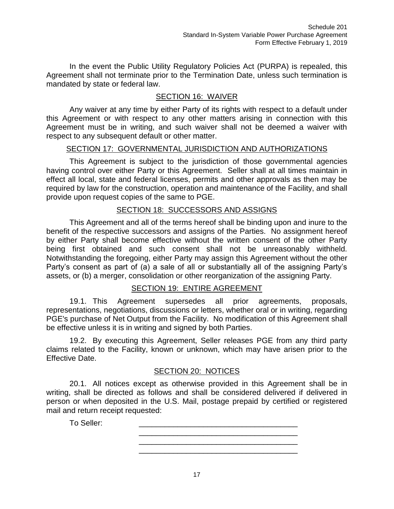In the event the Public Utility Regulatory Policies Act (PURPA) is repealed, this Agreement shall not terminate prior to the Termination Date, unless such termination is mandated by state or federal law.

# SECTION 16: WAIVER

Any waiver at any time by either Party of its rights with respect to a default under this Agreement or with respect to any other matters arising in connection with this Agreement must be in writing, and such waiver shall not be deemed a waiver with respect to any subsequent default or other matter.

#### SECTION 17: GOVERNMENTAL JURISDICTION AND AUTHORIZATIONS

This Agreement is subject to the jurisdiction of those governmental agencies having control over either Party or this Agreement. Seller shall at all times maintain in effect all local, state and federal licenses, permits and other approvals as then may be required by law for the construction, operation and maintenance of the Facility, and shall provide upon request copies of the same to PGE.

#### SECTION 18: SUCCESSORS AND ASSIGNS

This Agreement and all of the terms hereof shall be binding upon and inure to the benefit of the respective successors and assigns of the Parties. No assignment hereof by either Party shall become effective without the written consent of the other Party being first obtained and such consent shall not be unreasonably withheld. Notwithstanding the foregoing, either Party may assign this Agreement without the other Party's consent as part of (a) a sale of all or substantially all of the assigning Party's assets, or (b) a merger, consolidation or other reorganization of the assigning Party.

#### SECTION 19: ENTIRE AGREEMENT

19.1. This Agreement supersedes all prior agreements, proposals, representations, negotiations, discussions or letters, whether oral or in writing, regarding PGE's purchase of Net Output from the Facility. No modification of this Agreement shall be effective unless it is in writing and signed by both Parties.

19.2. By executing this Agreement, Seller releases PGE from any third party claims related to the Facility, known or unknown, which may have arisen prior to the Effective Date.

#### SECTION 20: NOTICES

20.1. All notices except as otherwise provided in this Agreement shall be in writing, shall be directed as follows and shall be considered delivered if delivered in person or when deposited in the U.S. Mail, postage prepaid by certified or registered mail and return receipt requested:

> \_\_\_\_\_\_\_\_\_\_\_\_\_\_\_\_\_\_\_\_\_\_\_\_\_\_\_\_\_\_\_\_\_\_\_\_\_ \_\_\_\_\_\_\_\_\_\_\_\_\_\_\_\_\_\_\_\_\_\_\_\_\_\_\_\_\_\_\_\_\_\_\_\_\_ \_\_\_\_\_\_\_\_\_\_\_\_\_\_\_\_\_\_\_\_\_\_\_\_\_\_\_\_\_\_\_\_\_\_\_\_\_

To Seller: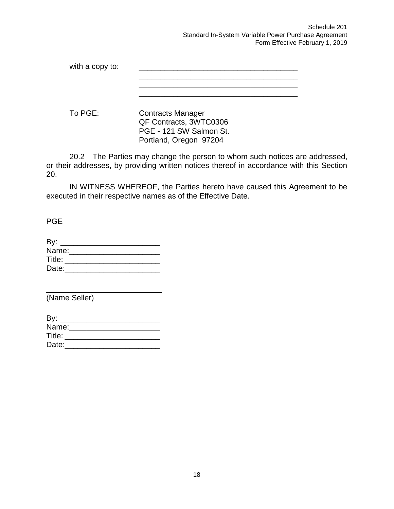Schedule 201 Standard In-System Variable Power Purchase Agreement Form Effective February 1, 2019

with a copy to: \_\_\_\_\_\_\_\_\_\_\_\_\_\_\_\_\_\_\_\_\_\_\_\_\_\_\_\_\_\_\_\_\_\_\_\_\_

To PGE: Contracts Manager QF Contracts, 3WTC0306 PGE - 121 SW Salmon St. Portland, Oregon 97204

20.2 The Parties may change the person to whom such notices are addressed, or their addresses, by providing written notices thereof in accordance with this Section 20.

IN WITNESS WHEREOF, the Parties hereto have caused this Agreement to be executed in their respective names as of the Effective Date.

PGE

| By:    |  |  |  |
|--------|--|--|--|
| Name:  |  |  |  |
| Title: |  |  |  |
| Date:  |  |  |  |
|        |  |  |  |

(Name Seller)

| By: _____________ |  |  |  |
|-------------------|--|--|--|
| Name:             |  |  |  |
| Title:            |  |  |  |
| Date:             |  |  |  |
|                   |  |  |  |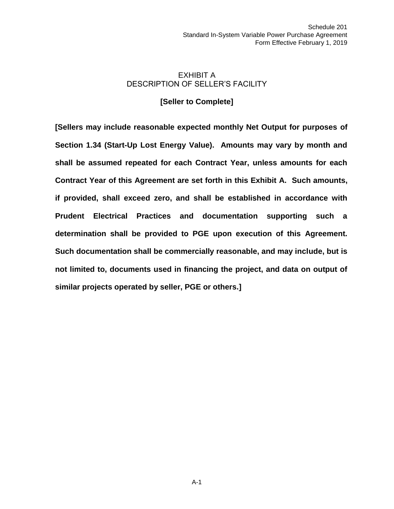# EXHIBIT A DESCRIPTION OF SELLER'S FACILITY

### **[Seller to Complete]**

**[Sellers may include reasonable expected monthly Net Output for purposes of Section 1.34 (Start-Up Lost Energy Value). Amounts may vary by month and shall be assumed repeated for each Contract Year, unless amounts for each Contract Year of this Agreement are set forth in this Exhibit A. Such amounts, if provided, shall exceed zero, and shall be established in accordance with Prudent Electrical Practices and documentation supporting such a determination shall be provided to PGE upon execution of this Agreement. Such documentation shall be commercially reasonable, and may include, but is not limited to, documents used in financing the project, and data on output of similar projects operated by seller, PGE or others.]**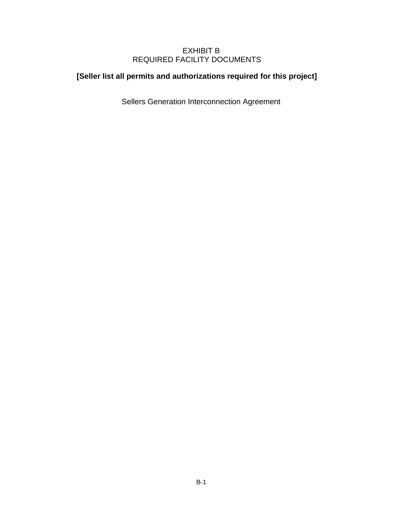## EXHIBIT B REQUIRED FACILITY DOCUMENTS

# **[Seller list all permits and authorizations required for this project]**

Sellers Generation Interconnection Agreement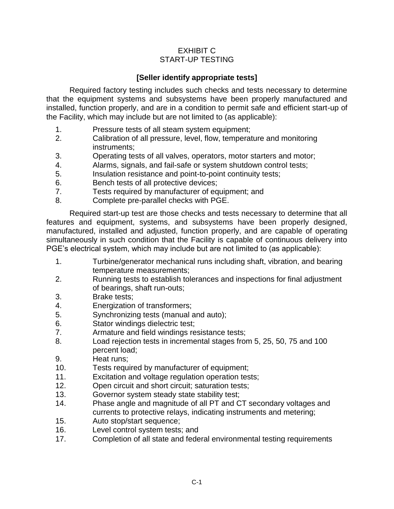## EXHIBIT C START-UP TESTING

# **[Seller identify appropriate tests]**

Required factory testing includes such checks and tests necessary to determine that the equipment systems and subsystems have been properly manufactured and installed, function properly, and are in a condition to permit safe and efficient start-up of the Facility, which may include but are not limited to (as applicable):

- 1. Pressure tests of all steam system equipment;
- 2. Calibration of all pressure, level, flow, temperature and monitoring instruments;
- 3. Operating tests of all valves, operators, motor starters and motor;
- 4. Alarms, signals, and fail-safe or system shutdown control tests;
- 5. Insulation resistance and point-to-point continuity tests;
- 6. Bench tests of all protective devices;
- 7. Tests required by manufacturer of equipment; and
- 8. Complete pre-parallel checks with PGE.

Required start-up test are those checks and tests necessary to determine that all features and equipment, systems, and subsystems have been properly designed, manufactured, installed and adjusted, function properly, and are capable of operating simultaneously in such condition that the Facility is capable of continuous delivery into PGE's electrical system, which may include but are not limited to (as applicable):

- 1. Turbine/generator mechanical runs including shaft, vibration, and bearing temperature measurements;
- 2. Running tests to establish tolerances and inspections for final adjustment of bearings, shaft run-outs;
- 3. Brake tests;
- 4. Energization of transformers;
- 5. Synchronizing tests (manual and auto);
- 6. Stator windings dielectric test;
- 7. Armature and field windings resistance tests;
- 8. Load rejection tests in incremental stages from 5, 25, 50, 75 and 100 percent load;
- 9. Heat runs;
- 10. Tests required by manufacturer of equipment;
- 11. Excitation and voltage regulation operation tests;
- 12. Open circuit and short circuit; saturation tests;
- 13. Governor system steady state stability test;
- 14. Phase angle and magnitude of all PT and CT secondary voltages and currents to protective relays, indicating instruments and metering;
- 15. Auto stop/start sequence;
- 16. Level control system tests; and
- 17. Completion of all state and federal environmental testing requirements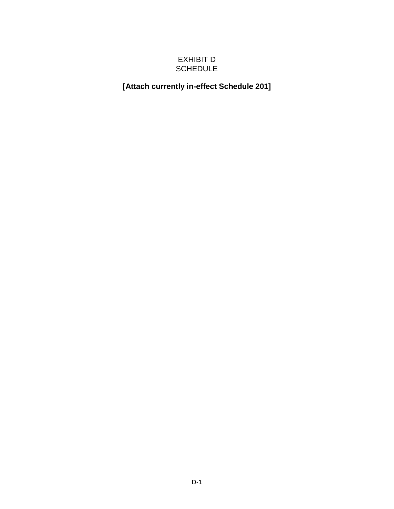# EXHIBIT D SCHEDULE

# **[Attach currently in-effect Schedule 201]**